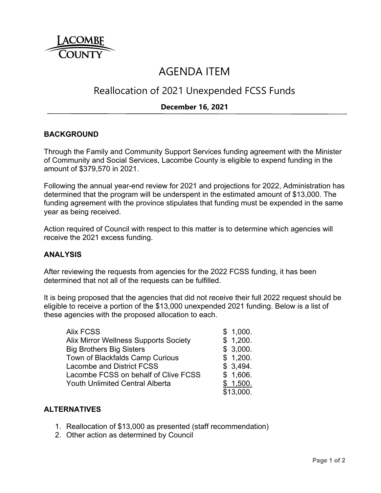

# AGENDA ITEM

# Reallocation of 2021 Unexpended FCSS Funds

# **December 16, 2021**

## **BACKGROUND**

Through the Family and Community Support Services funding agreement with the Minister of Community and Social Services, Lacombe County is eligible to expend funding in the amount of \$379,570 in 2021.

Following the annual year-end review for 2021 and projections for 2022, Administration has determined that the program will be underspent in the estimated amount of \$13,000. The funding agreement with the province stipulates that funding must be expended in the same year as being received.

Action required of Council with respect to this matter is to determine which agencies will receive the 2021 excess funding.

#### **ANALYSIS**

After reviewing the requests from agencies for the 2022 FCSS funding, it has been determined that not all of the requests can be fulfilled.

It is being proposed that the agencies that did not receive their full 2022 request should be eligible to receive a portion of the \$13,000 unexpended 2021 funding. Below is a list of these agencies with the proposed allocation to each.

| <b>Alix FCSS</b>                       | \$1,000.  |
|----------------------------------------|-----------|
| Alix Mirror Wellness Supports Society  | \$1,200.  |
| <b>Big Brothers Big Sisters</b>        | \$3,000.  |
| Town of Blackfalds Camp Curious        | \$1,200.  |
| <b>Lacombe and District FCSS</b>       | \$3,494.  |
| Lacombe FCSS on behalf of Clive FCSS   | \$1,606.  |
| <b>Youth Unlimited Central Alberta</b> | 1,500.    |
|                                        | \$13,000. |

#### **ALTERNATIVES**

- 1. Reallocation of \$13,000 as presented (staff recommendation)
- 2. Other action as determined by Council